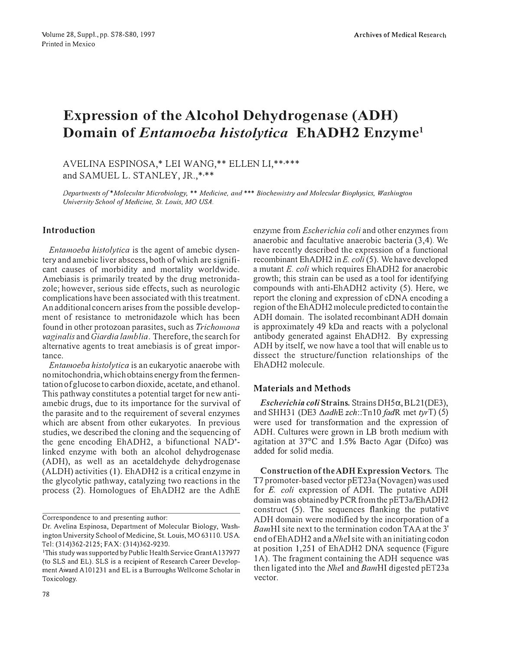# **Expression of the Alcohol Dehydrogenase (ADH) Domain of** *Entamoeba histolytica* **EhADH2 Enzyme<sup>1</sup>**

AVELINA ESPINOSA,\* LEI WANG,\*\* ELLEN LI,\*\*·\*\*\* and SAMUEL L. STANLEY, JR.,\*,\*\*

Departments of \*Molecular Microbiology, \*\* Medicine, and \*\*\* Biochemistry and Molecular Biophysics, Washington *University School of Medicine, St. Louis, MO USA.* 

## **Jntroduction**

*Entamoeba histolytica* is the agent of amebic dysentery and amebic liver abscess, both of which are significant causes of morbidity and mortality worldwide. Amebiasis is primarily treated by the drug metronidazole; however, serious side effects, such as neurologie complications have been associated with this treatment. An additional concem arises from the possible development of resistance to metronidazole which has been found in other protozoan parasites, such as *Trichomona vaginalis* and *Giardia lamblia.* Therefore, the search for alternative agents to treat amebiasis is of great importance.

*Entamoeba histolytica* is an eukaryotic anaerobe with no mitochondria, whichobtains energy from the fermentation of glucose to carbon dioxide, acetate, and ethanol. This pathway constitutes a potential target for new antiamebic drugs, due to its importance for the survival of the parasite and to the requirement of several enzymes which are absent from other eukaryotes. In previous studies, we described the cloning and the'sequencing of the gene encoding EhADH2, a ·bifunctional NAD<sup>+</sup> linked enzyme with both an alcohol dehydrogenase (ADH), as well as an acetaldehyde dehydrogenase (ALDH) activities (1). EhADH2 is a criticai enzyme in the glycolytic pathway, catalyzing two reactions in the process (2). Homologues of EhADH2 are the AdhE

Correspondence to and presenting author:

enzyme from *Escherichia coli* and other enzymes from anaerobic and facultative anaerobic bacteria (3,4). We have recently described the expression of a functional recombinant EhADH2 in *E. coli* (5). We have developed a mutant *E. coli* which requires EhADH2 for anaerobic growth; this strain can be used as a tool for identifying compounds with anti-EhADH2 activity (5). Here, we report the cloning and expression of cDNA encoding a region of the EhADH2 molecule predicted to contain the ADH domain. The isolated recombinant ADH domain is approximately 49 kDa and reacts with a polyclonal antibody generated against EhADH2. By expressing ADH by itself, we now have a tool that will enable us to dissect the structure/function relationships of the EhADH2 molecule.

## **Materials and Methods**

*Escherichia coli* Strains. Strains DH5a, BL2 l (DE3), and SHH31 (DE3 ΔadhE *zch*::Tn10 *fadR* met *tyrT*) (5) were used for transfonnation and the expression of ADH. Cultures were grown in LB broth medium with agitation at 37°C and 1.5% Bacto Agar (Difco) was added for solid media.

Construction of the ADH Expression Vectors. The T7 promoter-based vector pET23a (Novagen) was used for *E. coli* expression of ADH. The putative ADH dornain was obtained by PCR from the pET3a/EhADH2 construct (5). The sequences flanking the putative ADH domain were modified by the incorporation of a *BamHI* site next to the termination codon TAA at the 3' end of EhADH2 and *aNhel* site with an initiating codon at position 1,251 of EhADH2 DNA sequence (Figure lA). The fragment containing the ADH sequence was then ligated into the *Nhel* and *BamHI* digested pET23a vector.

Dr. Avelina Espinosa, Department of Molecular Biology, Washington University School of Medicine, St. Louis, MO 63110. USA. Tel: (314)362-2125; FAX: (314)362-9230.

<sup>&</sup>lt;sup>1</sup>This study was supported by Public Health Service Grant A137977 (to SLS and EL). SLS is a recipient of Research Career Development Award A101231 and EL is a Burroughs Wellcome Scholar in Toxicology.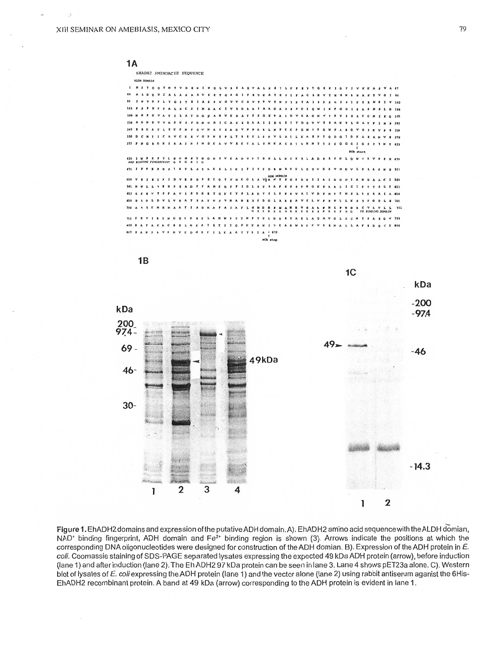



Figure 1. EhADH2 domains and expression of the putative ADH domain. A). EhADH2 amino acid sequence with the ALDH domian, NAD<sup>+</sup> binding fingerprint, ADH domain and Fe<sup>2+</sup> binding region is shown (3). Arrows indicate the positions at which the corresponding DNA oligonucleotides were designed for construction of the ADH domian. B). Expression of the ADH protein in E. coli. Coomassie staining of SDS-PAGE separated lysates expressing the expected 49 kDa ADH protein (arrow), before induction (lane 1) and after induction (lane 2). The Eh ADH2 97 kDa protein can be seen in lane 3. Lane 4 shows pET23a alone. C). Western blot of lysates of E. coli expressing the ADH protein (lane 1) and the vector alone (lane 2) using rabbit antiserum aganist the 6His-EhADH2 recombinant protein. A band at 49 kDa (arrow) corresponding to the ADH protein is evident in lane 1.